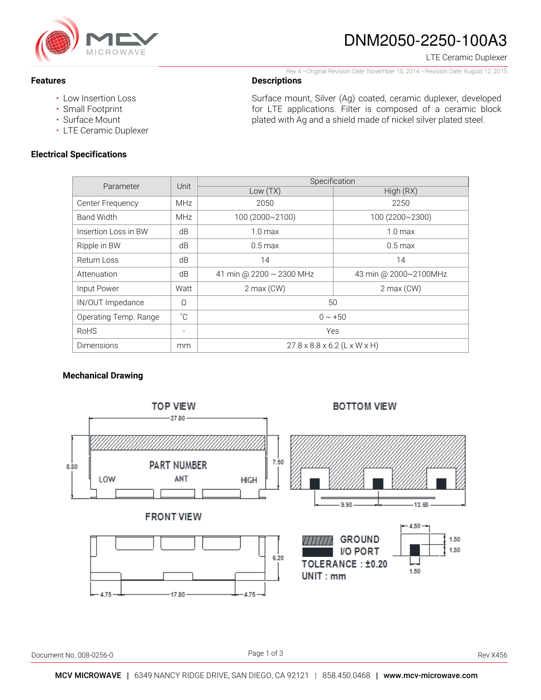

# DNM2050-2250-100A3

LTE Ceramic Duplexer

#### Rev 4 –Original Revision Date: November 10, 2014 –Revision Date: August 12, 2015

### **Descriptions**

- Low Insertion Loss
- Small Footprint

**Features** 

- Surface Mount
- LTE Ceramic Duplexer

## **Electrical Specifications**

Surface mount, Silver (Ag) coated, ceramic duplexer, developed for LTE applications. Filter is composed of a ceramic block plated with Ag and a shield made of nickel silver plated steel.

| Parameter             | Unit                     | Specification                            |                       |
|-----------------------|--------------------------|------------------------------------------|-----------------------|
|                       |                          | Low(TX)                                  | High (RX)             |
| Center Frequency      | <b>MHz</b>               | 2050                                     | 2250                  |
| <b>Band Width</b>     | <b>MHz</b>               | 100 (2000~2100)                          | 100 (2200~2300)       |
| Insertion Loss in BW  | dB                       | 1.0 <sub>max</sub>                       | 1.0 <sub>max</sub>    |
| Ripple in BW          | dB                       | $0.5$ max                                | $0.5 \,\mathrm{max}$  |
| Return Loss           | dB                       | 14                                       | 14                    |
| Attenuation           | dB                       | 41 min @ 2200 ~ 2300 MHz                 | 43 min @ 2000~2100MHz |
| Input Power           | Watt                     | $2$ max (CW)                             | $2$ max (CW)          |
| IN/OUT Impedance      | Ω                        | 50                                       |                       |
| Operating Temp. Range | $^{\circ}$ C             | $0 \sim +50$                             |                       |
| <b>RoHS</b>           | $\overline{\phantom{a}}$ | Yes                                      |                       |
| Dimensions            | mm                       | $27.8 \times 8.8 \times 6.2$ (L x W x H) |                       |

## **Mechanical Drawing**



Document No. 008-0256-0 Rev X456

Page 1 of 3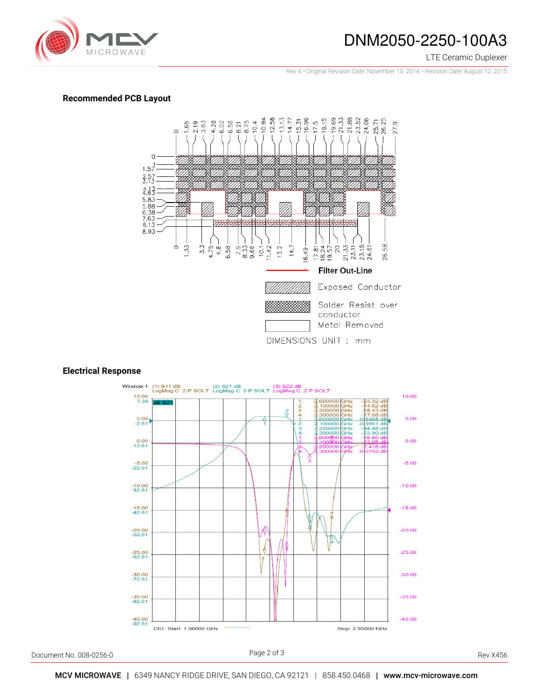

## DNM2050-2250-100A3

LTE Ceramic Duplexer

Rev 4 –Original Revision Date: November 10, 2014 –Revision Date: August 12, 2015

### **Recommended PCB Layout**



#### **Electrical Response**



Document No. 008-0256-0 Rev X456

Page 2 of 3